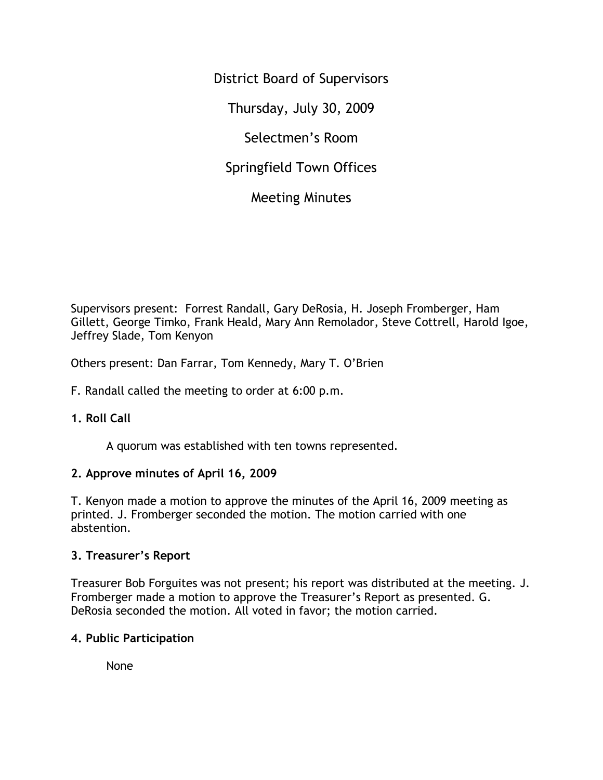District Board of Supervisors Thursday, July 30, 2009 Selectmen's Room Springfield Town Offices Meeting Minutes

Supervisors present: Forrest Randall, Gary DeRosia, H. Joseph Fromberger, Ham Gillett, George Timko, Frank Heald, Mary Ann Remolador, Steve Cottrell, Harold Igoe, Jeffrey Slade, Tom Kenyon

Others present: Dan Farrar, Tom Kennedy, Mary T. O'Brien

F. Randall called the meeting to order at 6:00 p.m.

## **1. Roll Call**

A quorum was established with ten towns represented.

### **2. Approve minutes of April 16, 2009**

T. Kenyon made a motion to approve the minutes of the April 16, 2009 meeting as printed. J. Fromberger seconded the motion. The motion carried with one abstention.

### **3. Treasurer's Report**

Treasurer Bob Forguites was not present; his report was distributed at the meeting. J. Fromberger made a motion to approve the Treasurer's Report as presented. G. DeRosia seconded the motion. All voted in favor; the motion carried.

### **4. Public Participation**

None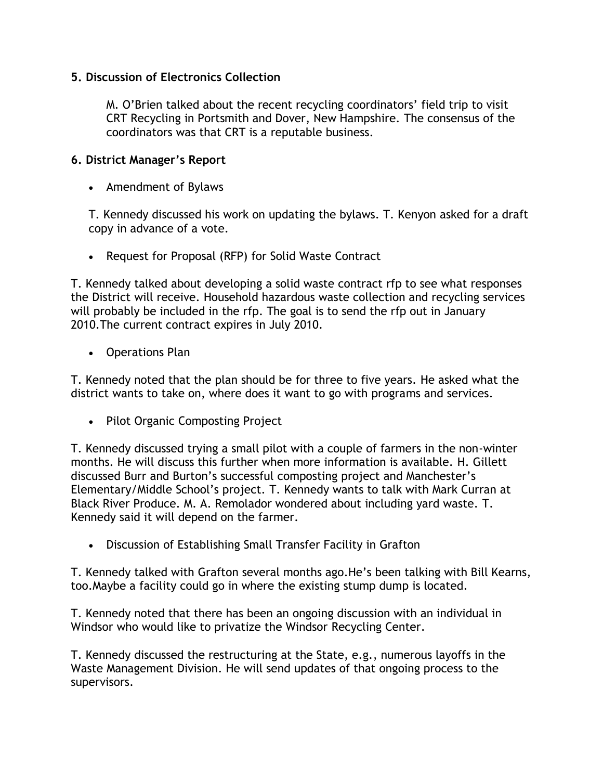## **5. Discussion of Electronics Collection**

M. O'Brien talked about the recent recycling coordinators' field trip to visit CRT Recycling in Portsmith and Dover, New Hampshire. The consensus of the coordinators was that CRT is a reputable business.

### **6. District Manager's Report**

• Amendment of Bylaws

T. Kennedy discussed his work on updating the bylaws. T. Kenyon asked for a draft copy in advance of a vote.

• Request for Proposal (RFP) for Solid Waste Contract

T. Kennedy talked about developing a solid waste contract rfp to see what responses the District will receive. Household hazardous waste collection and recycling services will probably be included in the rfp. The goal is to send the rfp out in January 2010.The current contract expires in July 2010.

• Operations Plan

T. Kennedy noted that the plan should be for three to five years. He asked what the district wants to take on, where does it want to go with programs and services.

• Pilot Organic Composting Project

T. Kennedy discussed trying a small pilot with a couple of farmers in the non-winter months. He will discuss this further when more information is available. H. Gillett discussed Burr and Burton's successful composting project and Manchester's Elementary/Middle School's project. T. Kennedy wants to talk with Mark Curran at Black River Produce. M. A. Remolador wondered about including yard waste. T. Kennedy said it will depend on the farmer.

• Discussion of Establishing Small Transfer Facility in Grafton

T. Kennedy talked with Grafton several months ago.He's been talking with Bill Kearns, too.Maybe a facility could go in where the existing stump dump is located.

T. Kennedy noted that there has been an ongoing discussion with an individual in Windsor who would like to privatize the Windsor Recycling Center.

T. Kennedy discussed the restructuring at the State, e.g., numerous layoffs in the Waste Management Division. He will send updates of that ongoing process to the supervisors.